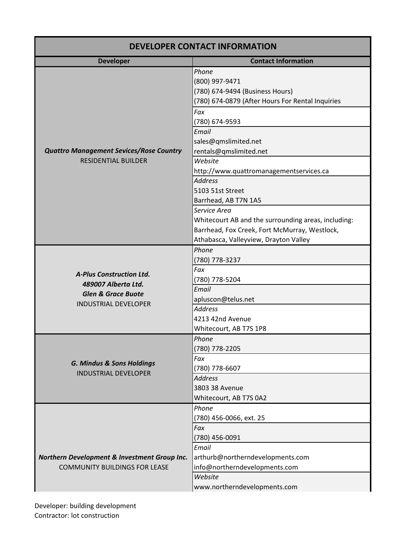| <b>DEVELOPER CONTACT INFORMATION</b>                                                                                   |                                                                                                                                                               |  |
|------------------------------------------------------------------------------------------------------------------------|---------------------------------------------------------------------------------------------------------------------------------------------------------------|--|
| <b>Developer</b>                                                                                                       | <b>Contact Information</b>                                                                                                                                    |  |
| <b>Quattro Management Sevices/Rose Country</b><br><b>RESIDENTIAL BUILDER</b>                                           | Phone<br>(800) 997-9471<br>(780) 674-9494 (Business Hours)<br>(780) 674-0879 (After Hours For Rental Inquiries                                                |  |
|                                                                                                                        | Fax<br>(780) 674-9593<br>Email                                                                                                                                |  |
|                                                                                                                        | sales@qmslimited.net<br>rentals@qmslimited.net                                                                                                                |  |
|                                                                                                                        | Website<br>http://www.quattromanagementservices.ca                                                                                                            |  |
|                                                                                                                        | <b>Address</b><br>5103 51st Street<br>Barrhead, AB T7N 1A5                                                                                                    |  |
|                                                                                                                        | Service Area<br>Whitecourt AB and the surrounding areas, including:<br>Barrhead, Fox Creek, Fort McMurray, Westlock,<br>Athabasca, Valleyview, Drayton Valley |  |
| <b>A-Plus Construction Ltd.</b><br>489007 Alberta Ltd.<br><b>Glen &amp; Grace Buote</b><br><b>INDUSTRIAL DEVELOPER</b> | Phone<br>(780) 778-3237                                                                                                                                       |  |
|                                                                                                                        | Fax<br>(780) 778-5204<br>Email                                                                                                                                |  |
|                                                                                                                        | apluscon@telus.net<br><b>Address</b>                                                                                                                          |  |
|                                                                                                                        | 4213 42nd Avenue<br>Whitecourt, AB T7S 1P8                                                                                                                    |  |
| <b>G. Mindus &amp; Sons Holdings</b><br><b>INDUSTRIAL DEVELOPER</b>                                                    | Phone<br>(780) 778-2205                                                                                                                                       |  |
|                                                                                                                        | Fax<br>(780) 778-6607<br><b>Address</b>                                                                                                                       |  |
|                                                                                                                        | 3803 38 Avenue<br>Whitecourt, AB T7S 0A2                                                                                                                      |  |
|                                                                                                                        | Phone<br>(780) 456-0066, ext. 25                                                                                                                              |  |
| Northern Development & Investment Group Inc.<br><b>COMMUNITY BUILDINGS FOR LEASE</b>                                   | Fax<br>(780) 456-0091                                                                                                                                         |  |
|                                                                                                                        | Email<br>arthurb@northerndevelopments.com<br>info@northerndevelopments.com                                                                                    |  |
|                                                                                                                        | Website<br>www.northerndevelopments.com                                                                                                                       |  |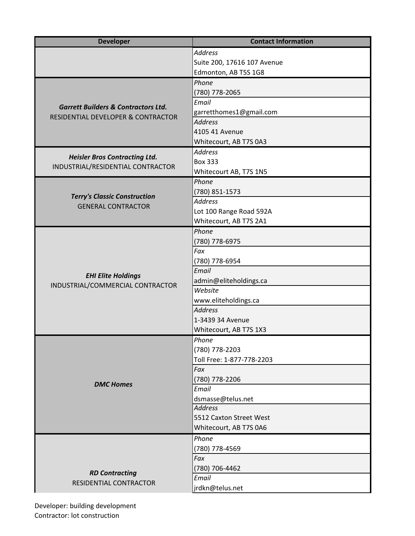| <b>Developer</b>                                                                                | <b>Contact Information</b>  |
|-------------------------------------------------------------------------------------------------|-----------------------------|
|                                                                                                 | <b>Address</b>              |
|                                                                                                 | Suite 200, 17616 107 Avenue |
|                                                                                                 | Edmonton, AB T5S 1G8        |
|                                                                                                 | Phone                       |
| <b>Garrett Builders &amp; Contractors Ltd.</b><br><b>RESIDENTIAL DEVELOPER &amp; CONTRACTOR</b> | (780) 778-2065              |
|                                                                                                 | Email                       |
|                                                                                                 | garretthomes1@gmail.com     |
|                                                                                                 | <b>Address</b>              |
|                                                                                                 | 4105 41 Avenue              |
|                                                                                                 | Whitecourt, AB T7S 0A3      |
|                                                                                                 | <b>Address</b>              |
| <b>Heisler Bros Contracting Ltd.</b><br>INDUSTRIAL/RESIDENTIAL CONTRACTOR                       | <b>Box 333</b>              |
|                                                                                                 | Whitecourt AB, T7S 1N5      |
|                                                                                                 | Phone                       |
|                                                                                                 | (780) 851-1573              |
| <b>Terry's Classic Construction</b>                                                             | <b>Address</b>              |
| <b>GENERAL CONTRACTOR</b>                                                                       | Lot 100 Range Road 592A     |
|                                                                                                 | Whitecourt, AB T7S 2A1      |
|                                                                                                 | Phone                       |
|                                                                                                 | (780) 778-6975              |
|                                                                                                 | Fax                         |
|                                                                                                 | (780) 778-6954              |
|                                                                                                 | Email                       |
| <b>EHI Elite Holdings</b><br>INDUSTRIAL/COMMERCIAL CONTRACTOR                                   | admin@eliteholdings.ca      |
|                                                                                                 | Website                     |
|                                                                                                 | www.eliteholdings.ca        |
|                                                                                                 | <b>Address</b>              |
|                                                                                                 | 1-3439 34 Avenue            |
|                                                                                                 | Whitecourt, AB T7S 1X3      |
| <b>DMC Homes</b>                                                                                | Phone                       |
|                                                                                                 | (780) 778-2203              |
|                                                                                                 | Toll Free: 1-877-778-2203   |
|                                                                                                 | Fax                         |
|                                                                                                 | (780) 778-2206              |
|                                                                                                 | Email                       |
|                                                                                                 | dsmasse@telus.net           |
|                                                                                                 | <b>Address</b>              |
|                                                                                                 | 5512 Caxton Street West     |
|                                                                                                 | Whitecourt, AB T7S 0A6      |
|                                                                                                 | Phone                       |
|                                                                                                 | (780) 778-4569              |
| <b>RD Contracting</b><br>RESIDENTIAL CONTRACTOR                                                 | Fax                         |
|                                                                                                 | (780) 706-4462              |
|                                                                                                 | Email                       |
|                                                                                                 | jrdkn@telus.net             |
|                                                                                                 |                             |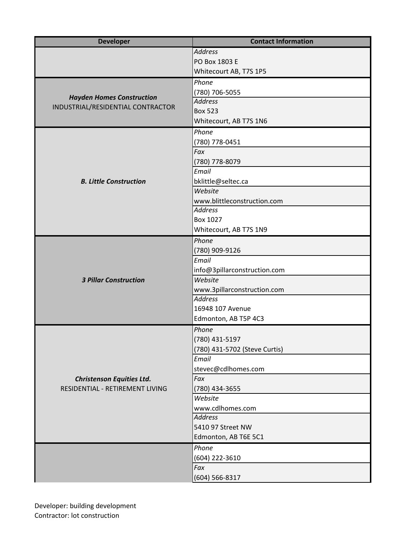| <b>Developer</b>                                                      | <b>Contact Information</b>    |
|-----------------------------------------------------------------------|-------------------------------|
|                                                                       | <b>Address</b>                |
|                                                                       | PO Box 1803 E                 |
|                                                                       | Whitecourt AB, T7S 1P5        |
| <b>Hayden Homes Construction</b><br>INDUSTRIAL/RESIDENTIAL CONTRACTOR | Phone                         |
|                                                                       | (780) 706-5055                |
|                                                                       | <b>Address</b>                |
|                                                                       | <b>Box 523</b>                |
|                                                                       | Whitecourt, AB T7S 1N6        |
|                                                                       | Phone                         |
|                                                                       | (780) 778-0451                |
|                                                                       | Fax                           |
|                                                                       | (780) 778-8079                |
|                                                                       | Email                         |
| <b>B. Little Construction</b>                                         | bklittle@seltec.ca            |
|                                                                       | Website                       |
|                                                                       | www.blittleconstruction.com   |
|                                                                       | <b>Address</b>                |
|                                                                       | Box 1027                      |
|                                                                       | Whitecourt, AB T7S 1N9        |
|                                                                       | Phone                         |
|                                                                       | (780) 909-9126                |
| <b>3 Pillar Construction</b>                                          | Email                         |
|                                                                       | info@3pillarconstruction.com  |
|                                                                       | Website                       |
|                                                                       | www.3pillarconstruction.com   |
|                                                                       | <b>Address</b>                |
|                                                                       | 16948 107 Avenue              |
|                                                                       | Edmonton, AB T5P 4C3          |
| <b>Christenson Equities Ltd.</b><br>RESIDENTIAL - RETIREMENT LIVING   | Phone                         |
|                                                                       | (780) 431-5197                |
|                                                                       | (780) 431-5702 (Steve Curtis) |
|                                                                       | Email                         |
|                                                                       | stevec@cdlhomes.com           |
|                                                                       | Fax                           |
|                                                                       | (780) 434-3655                |
|                                                                       | Website                       |
|                                                                       | www.cdlhomes.com              |
|                                                                       | <b>Address</b>                |
|                                                                       | 5410 97 Street NW             |
|                                                                       | Edmonton, AB T6E 5C1          |
|                                                                       | Phone                         |
|                                                                       | (604) 222-3610                |
|                                                                       | Fax                           |
|                                                                       | $(604) 566 - 8317$            |